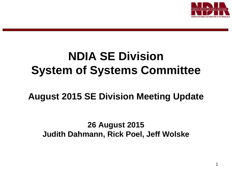

# **NDIA SE Division System of Systems Committee**

## **August 2015 SE Division Meeting Update**

**26 August 2015 Judith Dahmann, Rick Poel, Jeff Wolske**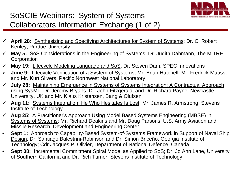

### SoSCIE Webinars: System of Systems Collaborators Information Exchange (1 of 2)

- **April 28:** Synthesizing and Specifying Architectures for System of Systems; Dr. C. Robert Kenley, Purdue University
- **May 5:** SoS Considerations in the Engineering of Systems; Dr. Judith Dahmann, The MITRE **Corporation**
- **May 19:** Lifecycle Modeling Language and SoS; Dr. Steven Dam, SPEC Innovations
- **June 9:** Lifecycle Verification of a System of Systems; Mr. Brian Hatchell, Mr. Fredrick Mauss, and Mr. Kurt Silvers, Pacific Northwest National Laboratory
- **July 28:** Maintaining Emergence in Systems of Systems Integration: A Contractual Approach using SysML; Dr. Jeremy Bryans, Dr. John Fitzgerald, and Dr. Richard Payne, Newcastle University, UK and Mr. Klaus Kristensen, Bang & Olufsen
- **Aug 11:** Systems Integration: He Who Hesitates Is Lost; Mr. James R. Armstrong, Stevens Institute of Technology
- **Aug 25**: A Practitioner's Approach Using Model Based Systems Engineering (MBSE) in Systems of Systems; Mr. Richard Deakins and Mr. Doug Parsons, U.S. Army Aviation and Missile Research, Development and Engineering Center
- **Sept 1:** Approach to Capability-Based System-of-Systems Framework in Support of Naval Ship Design; Dr. Santiago Balestrini-Robinson and Dr. Simon Briceño, Georgia Institute of Technology; Cdr Jacques P. Olivier, Department of National Defence, Canada
- **Sept 08:** Incremental Commitment Spiral Model as Applied to SoS; Dr. Jo Ann Lane, University of Southern California and Dr. Rich Turner, Stevens Institute of Technology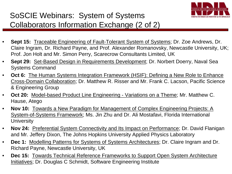

#### SoSCIE Webinars: System of Systems Collaborators Information Exchange (2 of 2)

- **Sept 15:** Traceable Engineering of Fault-Tolerant System of Systems; Dr. Zoe Andrews, Dr. Claire Ingram, Dr. Richard Payne, and Prof. Alexander Romanovsky, Newcastle University, UK; Prof. Jon Holt and Mr. Simon Perry, Scarecrow Consultants Limited, UK
- **Sept 29:** Set-Based Design in Requirements Development; Dr. Norbert Doerry, Naval Sea Systems Command
- **Oct 6:** The Human Systems Integration Framework (HSIF): Defining a New Role to Enhance Cross-Domain Collaboration; Dr. Matthew R. Risser and Mr. Frank C. Lacson, Pacific Science & Engineering Group
- **Oct 20:** Model-based Product Line Engineering Variations on a Theme; Mr. Matthew C. Hause, Atego
- **Nov 10:** Towards a New Paradigm for Management of Complex Engineering Projects: A System-of-Systems Framework; Ms. Jin Zhu and Dr. Ali Mostafavi, Florida International **University**
- **Nov 24:** Preferential System Connectivity and Its Impact on Performance; Dr. David Flanigan and Mr. Jeffery Dixon, The Johns Hopkins University Applied Physics Laboratory
- **Dec 1:** Modelling Patterns for Systems of Systems Architectures; Dr. Claire Ingram and Dr. Richard Payne, Newcastle University, UK
- **Dec 15:** Towards Technical Reference Frameworks to Support Open System Architecture Initiatives; Dr. Douglas C Schmidt, Software Engineering Institute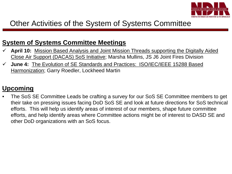

#### Other Activities of the System of Systems Committee

#### **System of Systems Committee Meetings**

- **April 10:** Mission Based Analysis and Joint Mission Threads supporting the Digitally Aided Close Air Support (DACAS) SoS Initiative; Marsha Mullins, JS J6 Joint Fires Division
- **June 4:** The Evolution of SE Standards and Practices: ISO/IEC/IEEE 15288 Based Harmonization; Garry Roedler, Lockheed Martin

#### **Upcoming**

• The SoS SE Committee Leads be crafting a survey for our SoS SE Committee members to get their take on pressing issues facing DoD SoS SE and look at future directions for SoS technical efforts. This will help us identify areas of interest of our members, shape future committee efforts, and help identify areas where Committee actions might be of interest to DASD SE and other DoD organizations with an SoS focus.